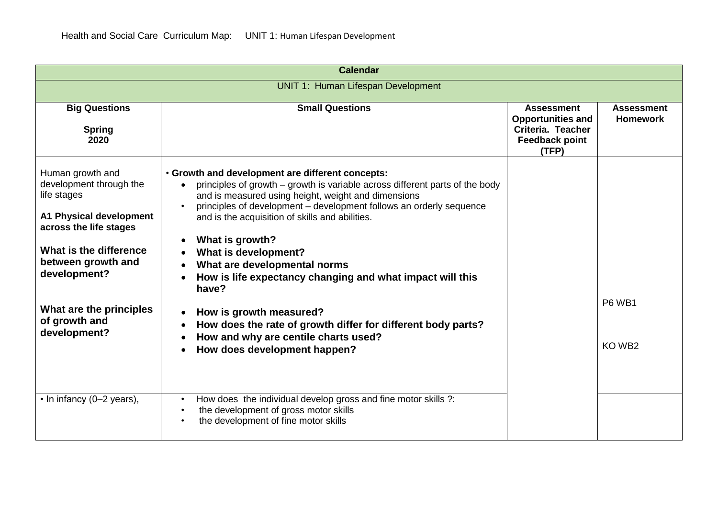| <b>Calendar</b>                                                                                                                                                                                                                             |                                                                                                                                                                                                                                                                                                                                                                                                                                                                                                                                                                                                                                       |                                                                                                      |                                      |
|---------------------------------------------------------------------------------------------------------------------------------------------------------------------------------------------------------------------------------------------|---------------------------------------------------------------------------------------------------------------------------------------------------------------------------------------------------------------------------------------------------------------------------------------------------------------------------------------------------------------------------------------------------------------------------------------------------------------------------------------------------------------------------------------------------------------------------------------------------------------------------------------|------------------------------------------------------------------------------------------------------|--------------------------------------|
| <b>UNIT 1: Human Lifespan Development</b>                                                                                                                                                                                                   |                                                                                                                                                                                                                                                                                                                                                                                                                                                                                                                                                                                                                                       |                                                                                                      |                                      |
| <b>Big Questions</b><br><b>Spring</b><br>2020                                                                                                                                                                                               | <b>Small Questions</b>                                                                                                                                                                                                                                                                                                                                                                                                                                                                                                                                                                                                                | <b>Assessment</b><br><b>Opportunities and</b><br>Criteria. Teacher<br><b>Feedback point</b><br>(TFP) | <b>Assessment</b><br><b>Homework</b> |
| Human growth and<br>development through the<br>life stages<br>A1 Physical development<br>across the life stages<br>What is the difference<br>between growth and<br>development?<br>What are the principles<br>of growth and<br>development? | . Growth and development are different concepts:<br>principles of growth – growth is variable across different parts of the body<br>and is measured using height, weight and dimensions<br>principles of development – development follows an orderly sequence<br>and is the acquisition of skills and abilities.<br>What is growth?<br>What is development?<br>What are developmental norms<br>How is life expectancy changing and what impact will this<br>have?<br>How is growth measured?<br>How does the rate of growth differ for different body parts?<br>How and why are centile charts used?<br>How does development happen? |                                                                                                      | <b>P6 WB1</b><br>KO WB2              |
| $\cdot$ In infancy (0-2 years),                                                                                                                                                                                                             | How does the individual develop gross and fine motor skills ?:<br>the development of gross motor skills<br>the development of fine motor skills                                                                                                                                                                                                                                                                                                                                                                                                                                                                                       |                                                                                                      |                                      |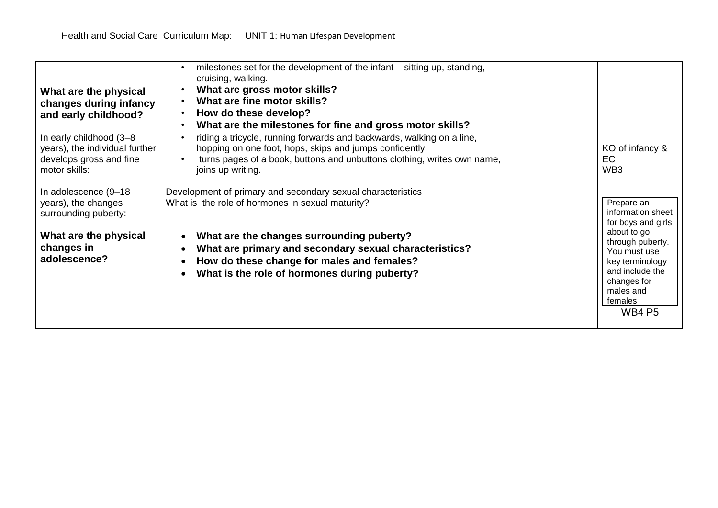| What are the physical<br>changes during infancy<br>and early childhood?                                                     | milestones set for the development of the infant - sitting up, standing,<br>cruising, walking.<br>What are gross motor skills?<br>What are fine motor skills?<br>How do these develop?<br>What are the milestones for fine and gross motor skills?                                                                                |                                                                                                                                                                                                        |
|-----------------------------------------------------------------------------------------------------------------------------|-----------------------------------------------------------------------------------------------------------------------------------------------------------------------------------------------------------------------------------------------------------------------------------------------------------------------------------|--------------------------------------------------------------------------------------------------------------------------------------------------------------------------------------------------------|
| In early childhood (3-8<br>years), the individual further<br>develops gross and fine<br>motor skills:                       | riding a tricycle, running forwards and backwards, walking on a line,<br>hopping on one foot, hops, skips and jumps confidently<br>turns pages of a book, buttons and unbuttons clothing, writes own name,<br>joins up writing.                                                                                                   | KO of infancy &<br>EC.<br>WB <sub>3</sub>                                                                                                                                                              |
| In adolescence (9-18)<br>years), the changes<br>surrounding puberty:<br>What are the physical<br>changes in<br>adolescence? | Development of primary and secondary sexual characteristics<br>What is the role of hormones in sexual maturity?<br>What are the changes surrounding puberty?<br>What are primary and secondary sexual characteristics?<br>$\bullet$<br>How do these change for males and females?<br>What is the role of hormones during puberty? | Prepare an<br>information sheet<br>for boys and girls<br>about to go<br>through puberty.<br>You must use<br>key terminology<br>and include the<br>changes for<br>males and<br>females<br><b>WB4 P5</b> |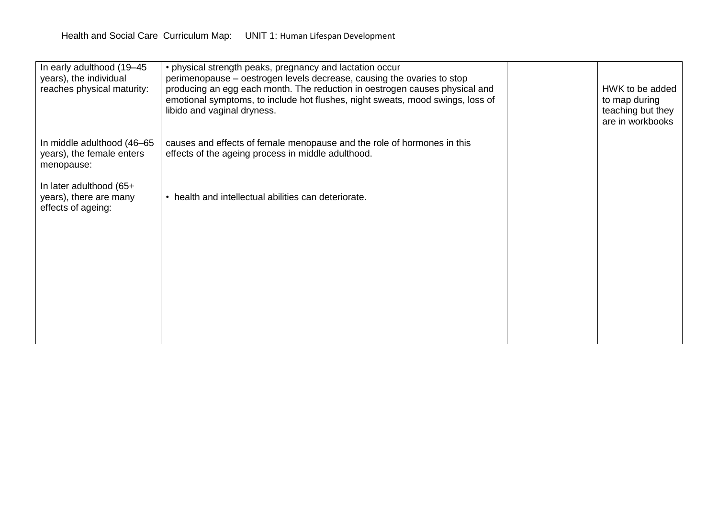| In early adulthood (19-45<br>years), the individual<br>reaches physical maturity: | • physical strength peaks, pregnancy and lactation occur<br>perimenopause – oestrogen levels decrease, causing the ovaries to stop<br>producing an egg each month. The reduction in oestrogen causes physical and<br>emotional symptoms, to include hot flushes, night sweats, mood swings, loss of<br>libido and vaginal dryness. | HWK to be added<br>to map during<br>teaching but they<br>are in workbooks |
|-----------------------------------------------------------------------------------|------------------------------------------------------------------------------------------------------------------------------------------------------------------------------------------------------------------------------------------------------------------------------------------------------------------------------------|---------------------------------------------------------------------------|
| In middle adulthood (46-65<br>years), the female enters<br>menopause:             | causes and effects of female menopause and the role of hormones in this<br>effects of the ageing process in middle adulthood.                                                                                                                                                                                                      |                                                                           |
| In later adulthood (65+<br>years), there are many<br>effects of ageing:           | • health and intellectual abilities can deteriorate.                                                                                                                                                                                                                                                                               |                                                                           |
|                                                                                   |                                                                                                                                                                                                                                                                                                                                    |                                                                           |
|                                                                                   |                                                                                                                                                                                                                                                                                                                                    |                                                                           |
|                                                                                   |                                                                                                                                                                                                                                                                                                                                    |                                                                           |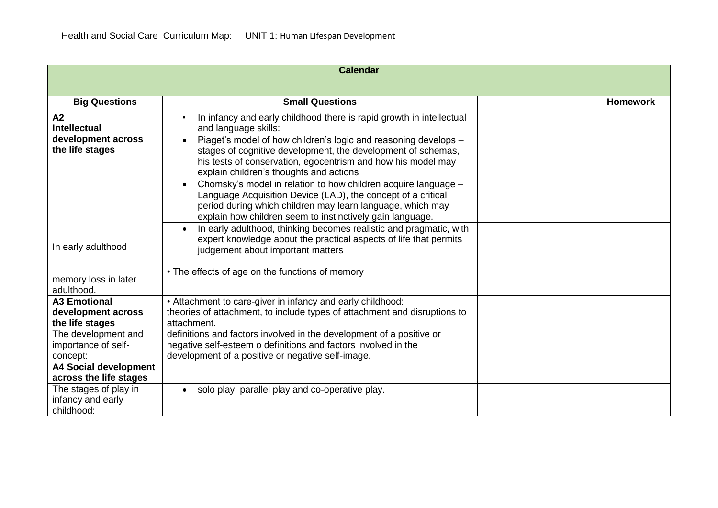| <b>Calendar</b>                                                    |                                                                                                                                                                                                                                                                                                                                                         |                 |
|--------------------------------------------------------------------|---------------------------------------------------------------------------------------------------------------------------------------------------------------------------------------------------------------------------------------------------------------------------------------------------------------------------------------------------------|-----------------|
|                                                                    |                                                                                                                                                                                                                                                                                                                                                         |                 |
| <b>Big Questions</b>                                               | <b>Small Questions</b>                                                                                                                                                                                                                                                                                                                                  | <b>Homework</b> |
| A2<br><b>Intellectual</b><br>development across<br>the life stages | In infancy and early childhood there is rapid growth in intellectual<br>and language skills:<br>Piaget's model of how children's logic and reasoning develops -<br>$\bullet$<br>stages of cognitive development, the development of schemas,<br>his tests of conservation, egocentrism and how his model may<br>explain children's thoughts and actions |                 |
|                                                                    | Chomsky's model in relation to how children acquire language -<br>Language Acquisition Device (LAD), the concept of a critical<br>period during which children may learn language, which may<br>explain how children seem to instinctively gain language.                                                                                               |                 |
| In early adulthood<br>memory loss in later<br>adulthood.           | In early adulthood, thinking becomes realistic and pragmatic, with<br>expert knowledge about the practical aspects of life that permits<br>judgement about important matters<br>• The effects of age on the functions of memory                                                                                                                         |                 |
| <b>A3 Emotional</b><br>development across<br>the life stages       | • Attachment to care-giver in infancy and early childhood:<br>theories of attachment, to include types of attachment and disruptions to<br>attachment.                                                                                                                                                                                                  |                 |
| The development and<br>importance of self-<br>concept:             | definitions and factors involved in the development of a positive or<br>negative self-esteem o definitions and factors involved in the<br>development of a positive or negative self-image.                                                                                                                                                             |                 |
| <b>A4 Social development</b><br>across the life stages             |                                                                                                                                                                                                                                                                                                                                                         |                 |
| The stages of play in<br>infancy and early<br>childhood:           | solo play, parallel play and co-operative play.<br>$\bullet$                                                                                                                                                                                                                                                                                            |                 |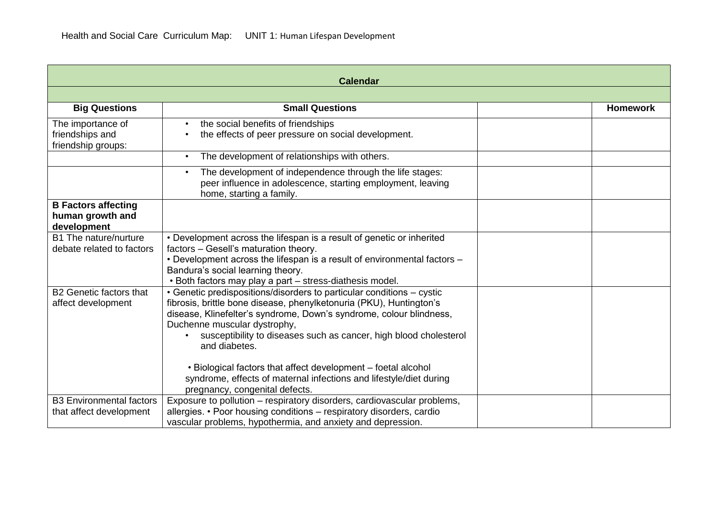| <b>Calendar</b>                                               |                                                                                                                                                                                                                                                                                                                                           |                 |
|---------------------------------------------------------------|-------------------------------------------------------------------------------------------------------------------------------------------------------------------------------------------------------------------------------------------------------------------------------------------------------------------------------------------|-----------------|
|                                                               |                                                                                                                                                                                                                                                                                                                                           |                 |
| <b>Big Questions</b>                                          | <b>Small Questions</b>                                                                                                                                                                                                                                                                                                                    | <b>Homework</b> |
| The importance of<br>friendships and<br>friendship groups:    | the social benefits of friendships<br>the effects of peer pressure on social development.                                                                                                                                                                                                                                                 |                 |
|                                                               | The development of relationships with others.                                                                                                                                                                                                                                                                                             |                 |
|                                                               | The development of independence through the life stages:<br>peer influence in adolescence, starting employment, leaving<br>home, starting a family.                                                                                                                                                                                       |                 |
| <b>B Factors affecting</b><br>human growth and<br>development |                                                                                                                                                                                                                                                                                                                                           |                 |
| B1 The nature/nurture<br>debate related to factors            | • Development across the lifespan is a result of genetic or inherited<br>factors - Gesell's maturation theory.<br>• Development across the lifespan is a result of environmental factors -<br>Bandura's social learning theory.<br>• Both factors may play a part - stress-diathesis model.                                               |                 |
| <b>B2 Genetic factors that</b><br>affect development          | • Genetic predispositions/disorders to particular conditions - cystic<br>fibrosis, brittle bone disease, phenylketonuria (PKU), Huntington's<br>disease, Klinefelter's syndrome, Down's syndrome, colour blindness,<br>Duchenne muscular dystrophy,<br>susceptibility to diseases such as cancer, high blood cholesterol<br>and diabetes. |                 |
|                                                               | • Biological factors that affect development - foetal alcohol<br>syndrome, effects of maternal infections and lifestyle/diet during<br>pregnancy, congenital defects.                                                                                                                                                                     |                 |
| <b>B3 Environmental factors</b><br>that affect development    | Exposure to pollution – respiratory disorders, cardiovascular problems,<br>allergies. • Poor housing conditions – respiratory disorders, cardio<br>vascular problems, hypothermia, and anxiety and depression.                                                                                                                            |                 |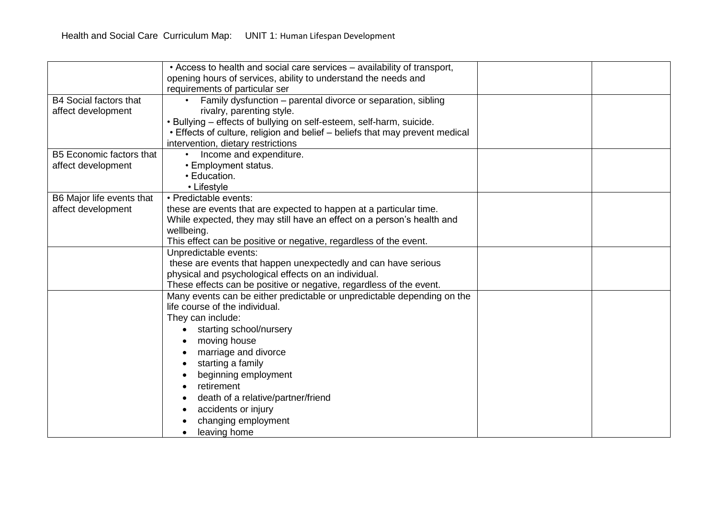|                                 | • Access to health and social care services – availability of transport,     |  |
|---------------------------------|------------------------------------------------------------------------------|--|
|                                 | opening hours of services, ability to understand the needs and               |  |
|                                 | requirements of particular ser                                               |  |
| <b>B4 Social factors that</b>   | Family dysfunction - parental divorce or separation, sibling                 |  |
| affect development              | rivalry, parenting style.                                                    |  |
|                                 | . Bullying - effects of bullying on self-esteem, self-harm, suicide.         |  |
|                                 | • Effects of culture, religion and belief - beliefs that may prevent medical |  |
|                                 | intervention, dietary restrictions                                           |  |
| <b>B5 Economic factors that</b> | Income and expenditure.                                                      |  |
| affect development              | • Employment status.                                                         |  |
|                                 | • Education.                                                                 |  |
|                                 | • Lifestyle                                                                  |  |
| B6 Major life events that       | • Predictable events:                                                        |  |
| affect development              | these are events that are expected to happen at a particular time.           |  |
|                                 | While expected, they may still have an effect on a person's health and       |  |
|                                 | wellbeing.                                                                   |  |
|                                 | This effect can be positive or negative, regardless of the event.            |  |
|                                 | Unpredictable events:                                                        |  |
|                                 | these are events that happen unexpectedly and can have serious               |  |
|                                 | physical and psychological effects on an individual.                         |  |
|                                 | These effects can be positive or negative, regardless of the event.          |  |
|                                 | Many events can be either predictable or unpredictable depending on the      |  |
|                                 | life course of the individual.                                               |  |
|                                 | They can include:                                                            |  |
|                                 | starting school/nursery                                                      |  |
|                                 | moving house                                                                 |  |
|                                 | marriage and divorce                                                         |  |
|                                 | starting a family                                                            |  |
|                                 | beginning employment                                                         |  |
|                                 | retirement                                                                   |  |
|                                 | death of a relative/partner/friend                                           |  |
|                                 | accidents or injury                                                          |  |
|                                 | changing employment                                                          |  |
|                                 | leaving home                                                                 |  |